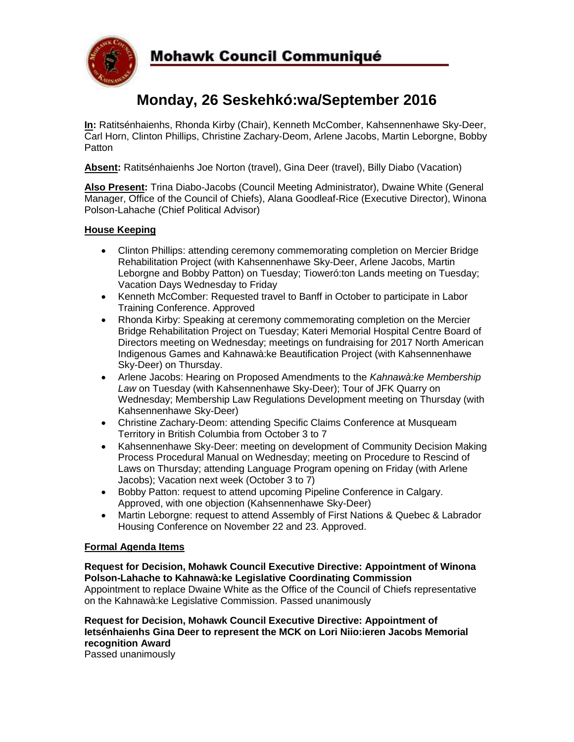

# **Monday, 26 Seskehkó:wa/September 2016**

**In:** Ratitsénhaienhs, Rhonda Kirby (Chair), Kenneth McComber, Kahsennenhawe Sky-Deer, Carl Horn, Clinton Phillips, Christine Zachary-Deom, Arlene Jacobs, Martin Leborgne, Bobby **Patton** 

**Absent:** Ratitsénhaienhs Joe Norton (travel), Gina Deer (travel), Billy Diabo (Vacation)

**Also Present:** Trina Diabo-Jacobs (Council Meeting Administrator), Dwaine White (General Manager, Office of the Council of Chiefs), Alana Goodleaf-Rice (Executive Director), Winona Polson-Lahache (Chief Political Advisor)

## **House Keeping**

- Clinton Phillips: attending ceremony commemorating completion on Mercier Bridge Rehabilitation Project (with Kahsennenhawe Sky-Deer, Arlene Jacobs, Martin Leborgne and Bobby Patton) on Tuesday; Tioweró:ton Lands meeting on Tuesday; Vacation Days Wednesday to Friday
- Kenneth McComber: Requested travel to Banff in October to participate in Labor Training Conference. Approved
- Rhonda Kirby: Speaking at ceremony commemorating completion on the Mercier Bridge Rehabilitation Project on Tuesday; Kateri Memorial Hospital Centre Board of Directors meeting on Wednesday; meetings on fundraising for 2017 North American Indigenous Games and Kahnawà:ke Beautification Project (with Kahsennenhawe Sky-Deer) on Thursday.
- Arlene Jacobs: Hearing on Proposed Amendments to the *Kahnawà:ke Membership Law* on Tuesday (with Kahsennenhawe Sky-Deer); Tour of JFK Quarry on Wednesday; Membership Law Regulations Development meeting on Thursday (with Kahsennenhawe Sky-Deer)
- Christine Zachary-Deom: attending Specific Claims Conference at Musqueam Territory in British Columbia from October 3 to 7
- Kahsennenhawe Sky-Deer: meeting on development of Community Decision Making Process Procedural Manual on Wednesday; meeting on Procedure to Rescind of Laws on Thursday; attending Language Program opening on Friday (with Arlene Jacobs); Vacation next week (October 3 to 7)
- Bobby Patton: request to attend upcoming Pipeline Conference in Calgary. Approved, with one objection (Kahsennenhawe Sky-Deer)
- Martin Leborgne: request to attend Assembly of First Nations & Quebec & Labrador Housing Conference on November 22 and 23. Approved.

### **Formal Agenda Items**

## **Request for Decision, Mohawk Council Executive Directive: Appointment of Winona Polson-Lahache to Kahnawà:ke Legislative Coordinating Commission**

Appointment to replace Dwaine White as the Office of the Council of Chiefs representative on the Kahnawà:ke Legislative Commission. Passed unanimously

# **Request for Decision, Mohawk Council Executive Directive: Appointment of Ietsénhaienhs Gina Deer to represent the MCK on Lori Niio:ieren Jacobs Memorial recognition Award**

Passed unanimously